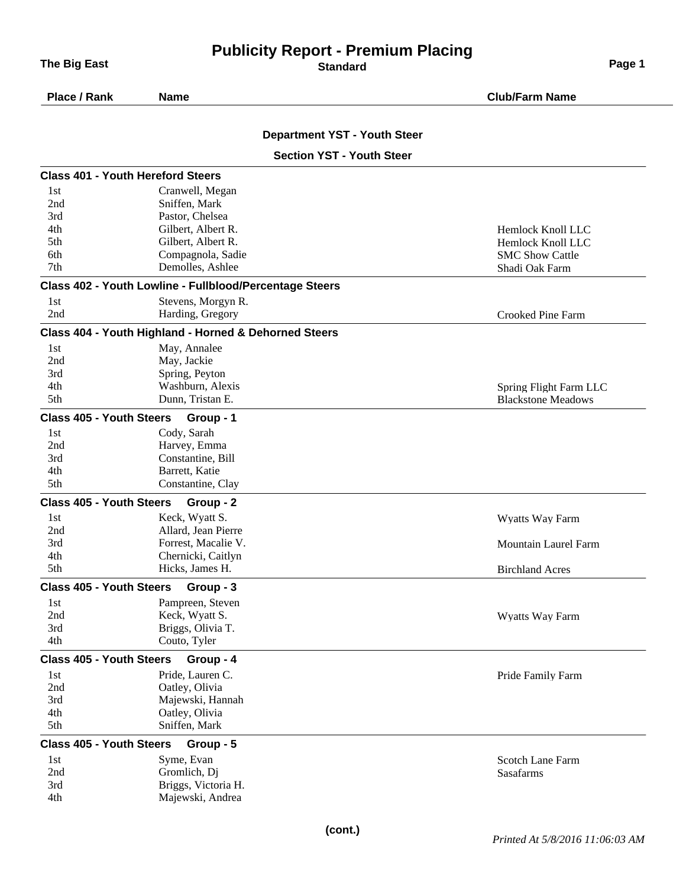## **Publicity Report - Premium Placing The Big East Page 1 CONSISTENT CONSISTENT CONSISTENT CONSISTENT CONSISTENT CONSISTENT CONSISTENT CONSISTENT CONSISTENT CONSISTENT CONSISTENT CONSISTENT CONSISTENT CONSISTENT CONSISTENT CONSISTENT CONSISTENT CONSISTENT**

| Place / Rank                             | <b>Name</b>                                             | <b>Club/Farm Name</b>       |
|------------------------------------------|---------------------------------------------------------|-----------------------------|
|                                          | <b>Department YST - Youth Steer</b>                     |                             |
|                                          | <b>Section YST - Youth Steer</b>                        |                             |
| <b>Class 401 - Youth Hereford Steers</b> |                                                         |                             |
| 1st                                      | Cranwell, Megan                                         |                             |
| 2nd                                      | Sniffen, Mark                                           |                             |
| 3rd                                      | Pastor, Chelsea                                         |                             |
| 4th                                      | Gilbert, Albert R.                                      | Hemlock Knoll LLC           |
| 5th                                      | Gilbert, Albert R.                                      | Hemlock Knoll LLC           |
| 6th                                      | Compagnola, Sadie                                       | <b>SMC Show Cattle</b>      |
| 7th                                      | Demolles, Ashlee                                        | Shadi Oak Farm              |
|                                          | Class 402 - Youth Lowline - Fullblood/Percentage Steers |                             |
| 1st                                      | Stevens, Morgyn R.                                      |                             |
| 2nd                                      | Harding, Gregory                                        | Crooked Pine Farm           |
|                                          | Class 404 - Youth Highland - Horned & Dehorned Steers   |                             |
| 1st                                      | May, Annalee                                            |                             |
| 2nd                                      | May, Jackie                                             |                             |
| 3rd                                      | Spring, Peyton                                          |                             |
| 4th                                      | Washburn, Alexis                                        | Spring Flight Farm LLC      |
| 5th                                      | Dunn, Tristan E.                                        | <b>Blackstone Meadows</b>   |
| <b>Class 405 - Youth Steers</b>          | Group - 1                                               |                             |
| 1st                                      | Cody, Sarah                                             |                             |
| 2nd                                      | Harvey, Emma                                            |                             |
| 3rd                                      | Constantine, Bill                                       |                             |
| 4th                                      | Barrett, Katie                                          |                             |
| 5th                                      | Constantine, Clay                                       |                             |
| <b>Class 405 - Youth Steers</b>          | Group - 2                                               |                             |
| 1st                                      | Keck, Wyatt S.                                          | Wyatts Way Farm             |
| 2nd                                      | Allard, Jean Pierre                                     |                             |
| 3rd                                      | Forrest, Macalie V.                                     | <b>Mountain Laurel Farm</b> |
| 4th                                      | Chernicki, Caitlyn                                      |                             |
| 5th                                      | Hicks, James H.                                         | <b>Birchland Acres</b>      |
| <b>Class 405 - Youth Steers</b>          | Group - 3                                               |                             |
| 1st                                      | Pampreen, Steven                                        |                             |
| 2nd                                      | Keck, Wyatt S.                                          | Wyatts Way Farm             |
| 3rd                                      | Briggs, Olivia T.                                       |                             |
| 4th                                      | Couto, Tyler                                            |                             |
| <b>Class 405 - Youth Steers</b>          | Group - 4                                               |                             |
| 1st<br>2nd                               | Pride, Lauren C.<br>Oatley, Olivia                      | Pride Family Farm           |
| 3rd                                      | Majewski, Hannah                                        |                             |
| 4th                                      | Oatley, Olivia                                          |                             |
| 5th                                      | Sniffen, Mark                                           |                             |
| <b>Class 405 - Youth Steers</b>          | Group - 5                                               |                             |
| 1st                                      | Syme, Evan                                              | <b>Scotch Lane Farm</b>     |
| 2nd                                      | Gromlich, Dj                                            | Sasafarms                   |
|                                          | Briggs, Victoria H.                                     |                             |
| 3rd                                      |                                                         |                             |